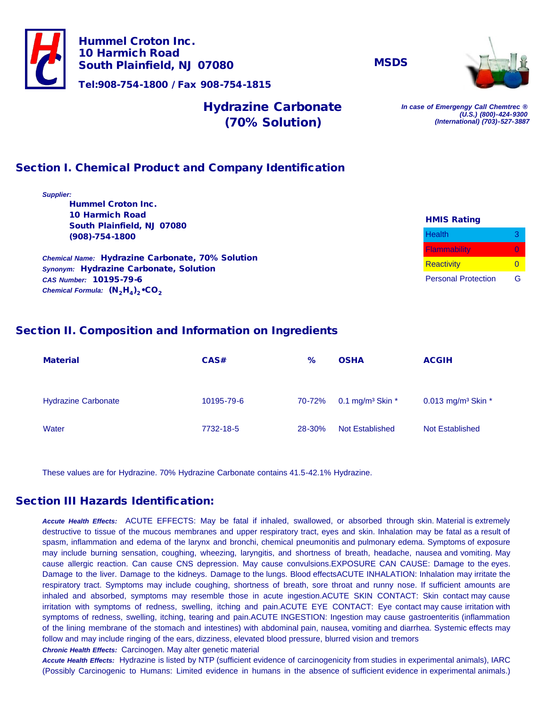

*Supplier:*

Hummel Croton Inc. 10 Harmich Road

(908)-754-1800

*CAS Number:* 10195-79-6 *Chemical Formula:*  $(N_2H_4)_2$ •CO<sub>2</sub>

South Plainfield, NJ 07080

*Synonym:* Hydrazine Carbonate, Solution

*Chemical Name:* Hydrazine Carbonate, 70% Solution

Hummel Croton Inc. 10 Harmich Road South Plainfield, NJ 07080

**MSDS** 



Tel:908-754-1800 / Fax 908-754-1815

# Hydrazine Carbonate (70% Solution)

*In case of Emergengy Call Chemtrec ® (U.S.) (800)-424-9300 (International) (703)-527-3887*

# Section I. Chemical Product and Company Identification

| <b>HMIS Rating</b>         |   |
|----------------------------|---|
| <b>Health</b>              |   |
| <b>Flammability</b>        |   |
| <b>Reactivity</b>          | O |
| <b>Personal Protection</b> | a |

# Section II. Composition and Information on Ingredients

| <b>Material</b>            | CAS#       | %      | <b>OSHA</b>                    | <b>ACGIH</b>                     |
|----------------------------|------------|--------|--------------------------------|----------------------------------|
|                            |            |        |                                |                                  |
| <b>Hydrazine Carbonate</b> | 10195-79-6 | 70-72% | 0.1 mg/m <sup>3</sup> Skin $*$ | 0.013 mg/m <sup>3</sup> Skin $*$ |
| Water                      | 7732-18-5  | 28-30% | <b>Not Established</b>         | <b>Not Established</b>           |

These values are for Hydrazine. 70% Hydrazine Carbonate contains 41.5-42.1% Hydrazine.

# Section III Hazards Identification:

*Accute Health Effects:* ACUTE EFFECTS: May be fatal if inhaled, swallowed, or absorbed through skin. Material is extremely destructive to tissue of the mucous membranes and upper respiratory tract, eyes and skin. Inhalation may be fatal as a result of spasm, inflammation and edema of the larynx and bronchi, chemical pneumonitis and pulmonary edema. Symptoms of exposure may include burning sensation, coughing, wheezing, laryngitis, and shortness of breath, headache, nausea and vomiting. May cause allergic reaction. Can cause CNS depression. May cause convulsions.EXPOSURE CAN CAUSE: Damage to the eyes. Damage to the liver. Damage to the kidneys. Damage to the lungs. Blood effectsACUTE INHALATION: Inhalation may irritate the respiratory tract. Symptoms may include coughing, shortness of breath, sore throat and runny nose. If sufficient amounts are inhaled and absorbed, symptoms may resemble those in acute ingestion.ACUTE SKIN CONTACT: Skin contact may cause irritation with symptoms of redness, swelling, itching and pain.ACUTE EYE CONTACT: Eye contact may cause irritation with symptoms of redness, swelling, itching, tearing and pain.ACUTE INGESTION: Ingestion may cause gastroenteritis (inflammation of the lining membrane of the stomach and intestines) with abdominal pain, nausea, vomiting and diarrhea. Systemic effects may follow and may include ringing of the ears, dizziness, elevated blood pressure, blurred vision and tremors

*Chronic Health Effects:* Carcinogen. May alter genetic material

*Accute Health Effects:* Hydrazine is listed by NTP (sufficient evidence of carcinogenicity from studies in experimental animals), IARC (Possibly Carcinogenic to Humans: Limited evidence in humans in the absence of sufficient evidence in experimental animals.)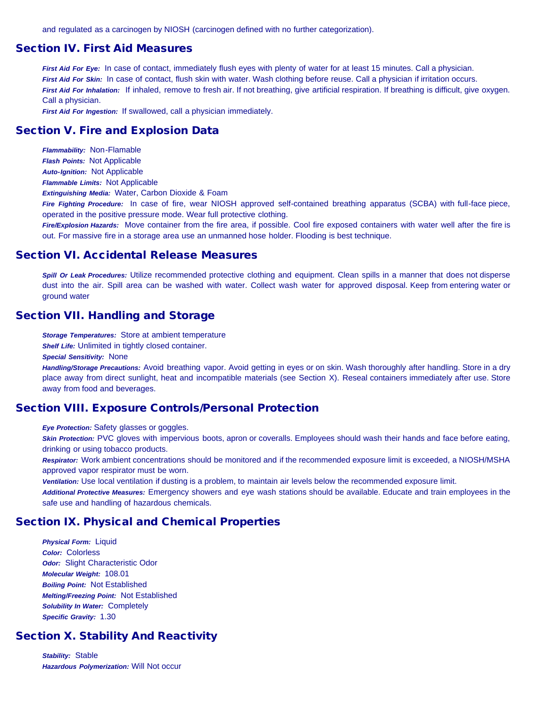and regulated as a carcinogen by NIOSH (carcinogen defined with no further categorization).

#### Section IV. First Aid Measures

*First Aid For Eye:* In case of contact, immediately flush eyes with plenty of water for at least 15 minutes. Call a physician. *First Aid For Skin:* In case of contact, flush skin with water. Wash clothing before reuse. Call a physician if irritation occurs. *First Aid For Inhalation:* If inhaled, remove to fresh air. If not breathing, give artificial respiration. If breathing is difficult, give oxygen. Call a physician.

*First Aid For Ingestion:* If swallowed, call a physician immediately.

#### Section V. Fire and Explosion Data

*Flammability:* Non-Flamable *Flash Points:* Not Applicable *Auto-Ignition:* Not Applicable *Flammable Limits:* Not Applicable *Extinguishing Media:* Water, Carbon Dioxide & Foam *Fire Fighting Procedure:* In case of fire, wear NIOSH approved self-contained breathing apparatus (SCBA) with full-face piece, operated in the positive pressure mode. Wear full protective clothing.

*Fire/Explosion Hazards:* Move container from the fire area, if possible. Cool fire exposed containers with water well after the fire is out. For massive fire in a storage area use an unmanned hose holder. Flooding is best technique.

#### Section VI. Accidental Release Measures

*Spill Or Leak Procedures:* Utilize recommended protective clothing and equipment. Clean spills in a manner that does not disperse dust into the air. Spill area can be washed with water. Collect wash water for approved disposal. Keep from entering water or ground water

#### Section VII. Handling and Storage

*Storage Temperatures:* Store at ambient temperature

*Shelf Life:* Unlimited in tightly closed container.

*Special Sensitivity:* None

*Handling/Storage Precautions:* Avoid breathing vapor. Avoid getting in eyes or on skin. Wash thoroughly after handling. Store in a dry place away from direct sunlight, heat and incompatible materials (see Section X). Reseal containers immediately after use. Store away from food and beverages.

### Section VIII. Exposure Controls/Personal Protection

*Eye Protection:* Safety glasses or goggles.

*Skin Protection:* PVC gloves with impervious boots, apron or coveralls. Employees should wash their hands and face before eating, drinking or using tobacco products.

*Respirator:* Work ambient concentrations should be monitored and if the recommended exposure limit is exceeded, a NIOSH/MSHA approved vapor respirator must be worn.

*Ventilation:* Use local ventilation if dusting is a problem, to maintain air levels below the recommended exposure limit.

*Additional Protective Measures:* Emergency showers and eye wash stations should be available. Educate and train employees in the safe use and handling of hazardous chemicals.

#### Section IX. Physical and Chemical Properties

*Physical Form:* Liquid *Color:* Colorless *Odor:* Slight Characteristic Odor *Molecular Weight:* 108.01 *Boiling Point:* Not Established *Melting/Freezing Point:* Not Established *Solubility In Water:* Completely *Specific Gravity:* 1.30

### Section X. Stability And Reactivity

*Stability:* Stable *Hazardous Polymerization:* Will Not occur